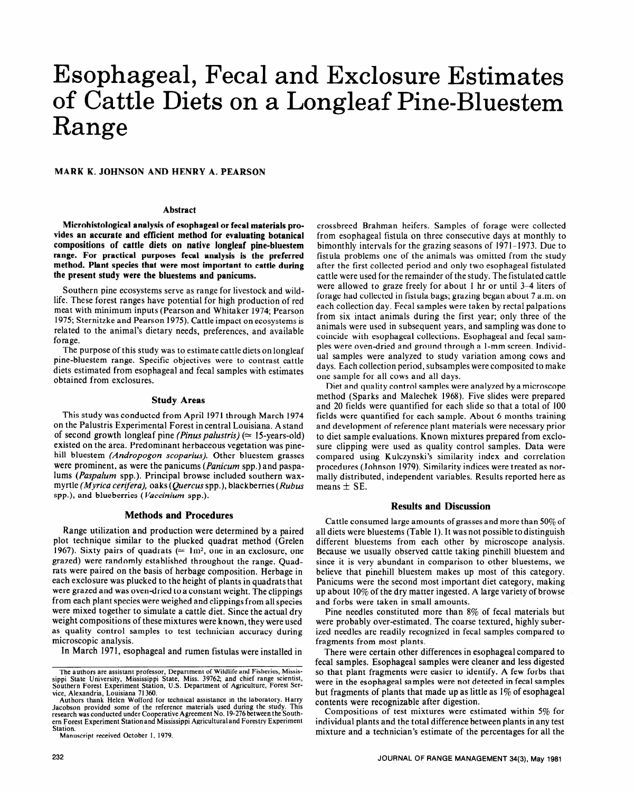# Esophageal, Fecal and Exclosure Estimates of Cattle Diets on a Longleaf Pine-Bluestem Range

**MARK K. JOHNSON AND HENRY A. PEARSON** 

## **Abstract**

**Microhistological analysis of esophageal or fecal materials provides an accurate and efficient method for evaluating botanical compositions of cattle diets on native longleaf pine-bluestem range. For practical purposes fecal analysis is the preferred method. Plant species that were most important to cattle during the present study were the bluestems and panicums.** 

Southern pine ecosystems serve as range for livestock and wildlife. These forest ranges have potential for high production of red meat with minimum inputs (Pearson and Whitaker 1974; Pearson 1975; Sternitzke and Pearson 1975). Cattle impact on ecosystems is related to the animal's dietary needs, preferences, and available forage.

The purpose of this study was to estimate cattle diets on longleaf pine-bluestem range. Specific objectives were to contrast cattle diets estimated from esophageal and fecal samples with estimates obtained from exclosures.

#### **Study Areas**

This study was conducted from April 1971 through March 1974 on the Palustris Experimental Forest in central Louisiana. A stand of second growth longleaf pine *(Pinus palustris) (=* 15-years-old) existed on the area. Predominant herbaceous vegetation was pinehill bluestem *(Andropogon scoparius).* Other bluestem grasses were prominent, as were the panicums *(Panicum* spp.) and paspalums *(Paspalum* spp.). Principal browse included southern waxmyrtle *(Myrica ceriferu),* oaks *(Quercus* spp.), blackberries (Rubus spp.), and blueberries *(Vuccinium* spp.).

## **Methods and Procedures**

Range utilization and production were determined by a paired plot technique similar to the plucked quadrat method (Grelen 1967). Sixty pairs of quadrats ( $\approx 1 \text{m}^2$ , one in an exclosure, one grazed) were randomly established throughout the range. Quadrats were paired on the basis of herbage composition. Herbage in each exclosure was plucked to the height of plants in quadrats that were grazed and was oven-dried to a constant weight. The clippings from each plant species were weighed and clippings from all species were mixed together to simulate a cattle diet. Since the actual dry weight compositions of these mixtures were known, they were used as quality control samples to test technician accuracy during microscopic analysis.

In March 1971, esophageal and rumen fistulas were installed in

Manuscript received October 1, 1979.

crossbreed Brahman heifers. Samples of forage were collected from esophageal fistula on three consecutive days at monthly to bimonthly intervals for the grazing seasons of 1971-1973. Due to fistula problems one of the animals was omitted from the study after the first collected period and only two esophageal fistulated cattle were used for the remainder of the study. The fistulated cattle were allowed to graze freely for about 1 hr or until 3-4 liters of forage had collected in fistula bags; grazing began about 7 a.m. on each collection day. Fecal samples were taken by rectal palpations from six intact animals during the first year; only three of the animals were used in subsequent years, and sampling was done to coincide with esophageal collections. Esophageal and fecal samples were oven-dried and ground through a l-mm screen. Individual samples were analyzed to study variation among cows and days. Each collection period, subsamples were composited to make one sample for all cows and all days.

Diet and quality control samples were analyzed by a microscope method (Sparks and Malechek 1968). Five slides were prepared and 20 fields were quantified for each slide so that a total of 100 fields were quantified for each sample. About 6 months training and development of reference plant materials were necessary prior to diet sample evaluations. Known mixtures prepared from exclosure clipping were used as quality control samples. Data were compared using Kulczynski's similarity index and correlation procedures (Johnson 1979). Similarity indices were treated as normally distributed, independent variables. Results reported here as means  $\pm$  SE.

## **Results and Discussion**

Cattle consumed large amounts of grasses and more than 50% of all diets were bluestems (Table 1). It was not possible to distinguish different bluestems from each other by microscope analysis. Because we usually observed cattle taking pinehill bluestem and since it is very abundant in comparison to other bluestems, we believe that pinehill bluestem makes up most of this category. Panicums were the second most important diet category, making up about 10% of the dry matter ingested. A large variety of browse and forbs were taken in small amounts.

Pine needles constituted more than 8% of fecal materials but were probably over-estimated. The coarse textured, highly suberized needles are readily recognized in fecal samples compared to fragments from most plants.

There were certain other differences in esophageal compared to fecal samples. Esophageal samples were cleaner and less digested so that plant fragments were easier to identify. A few forbs that were in the esophageal samples were not detected in fecal samples but fragments of plants that made up as little as  $1\%$  of esophageal contents were recognizable after digestion.

Compositions of test mixtures were estimated within 5% for individual plants and the total difference between plants in any test mixture and a technician's estimate of the percentages for all the

The authors are assistant professor, Department of Wildlife and Fisheries, Mississippi State University, Mississippi State, Miss. 39762; and chief range scientist Southern Forest Experiment Station, U.S. Department of Agri

Authors thank Helen Wofford for technical assistance in the laboratory. Harry<br>Authors thank Helen Wofford for technical assistance in the laboratory. Harry Jacobson provided solite of the ferefelice materials used during the study. This research was conducted under Cooperative Agreement No. 19-276 between the Southern Forest Experiment Station and Mississippi Agricultural and Forestry Experiment<br>Station.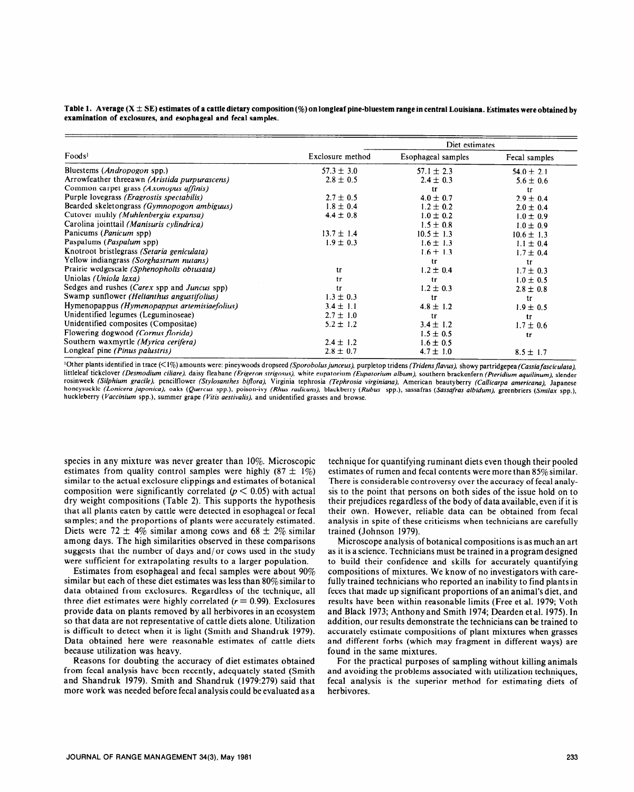Table 1. Average (X  $\pm$  SE) estimates of a cattle dietary composition (%) on longleaf pine-bluestem range in central Louisiana. Estimates were obtained by **examination of exclosures, and esophageal and fecal samples.** 

|                                               |                  | Diet estimates     |                |  |
|-----------------------------------------------|------------------|--------------------|----------------|--|
| Food <sub>s</sub>                             | Exclosure method | Esophageal samples | Fecal samples  |  |
| Bluestems ( <i>Andropogon</i> spp.)           | $57.3 \pm 3.0$   | $57.1 \pm 2.3$     | $54.0 \pm 2.1$ |  |
| Arrowfeather threeawn (Aristida purpurascens) | $2.8 \pm 0.5$    | $2.4 \pm 0.3$      | $5.6 \pm 0.6$  |  |
| Common carpet grass (Axonopus affinis)        |                  | tr                 | tr             |  |
| Purple lovegrass (Eragrostis spectabilis)     | $2.7 \pm 0.5$    | $4.0 \pm 0.7$      | $2.9 + 0.4$    |  |
| Bearded skeletongrass (Gymnopogon ambiguus)   | $1.8 \pm 0.4$    | $1.2 \pm 0.2$      | $2.0 \pm 0.4$  |  |
| Cutover muhly (Muhlenbergia expansa)          | $4.4 \pm 0.8$    | $1.0 \pm 0.2$      | $1.0 \pm 0.9$  |  |
| Carolina jointtail (Manisuris cylindrica)     |                  | $1.5 \pm 0.8$      | $1.0 \pm 0.9$  |  |
| Panicums ( <i>Panicum</i> spp)                | $13.7 \pm 1.4$   | $10.5 \pm 1.3$     | $10.6 \pm 1.3$ |  |
| Paspalums (Paspalum spp)                      | $1.9 \pm 0.3$    | $1.6 \pm 1.3$      | $1.1 \pm 0.4$  |  |
| Knotroot bristlegrass (Setaria geniculata)    |                  | $1.6 \pm 1.3$      | $1.7 \pm 0.4$  |  |
| Yellow indiangrass (Sorghastrum nutans)       |                  | tr                 | tr             |  |
| Prairie wedgescale (Sphenopholis obtusata)    | tr               | $1.2 \pm 0.4$      | $1.7 \pm 0.3$  |  |
| Uniolas (Uniola laxa)                         | tr               | tr                 | $1.0 \pm 0.5$  |  |
| Sedges and rushes (Carex spp and Juncus spp)  | tr               | $1.2 \pm 0.3$      | $2.8 \pm 0.8$  |  |
| Swamp sunflower (Helianthus angustifolius)    | $1.3 \pm 0.3$    | tr                 | tr             |  |
| Hymenopappus (Hymenopappus artemisiaefolius)  | $3.4 \pm 1.1$    | $4.8 \pm 1.2$      | $1.9 \pm 0.5$  |  |
| Unidentified legumes (Leguminoseae)           | $2.7 \pm 1.0$    | tr                 | tr             |  |
| Unidentified composites (Compositae)          | $5.2 \pm 1.2$    | $3.4 \pm 1.2$      | $1.7 \pm 0.6$  |  |
| Flowering dogwood (Cornus florida)            |                  | $1.5 \pm 0.5$      | tr             |  |
| Southern waxmyrtle (Myrica cerifera)          | $2.4 \pm 1.2$    | $1.6 \pm 0.5$      |                |  |
| Longleaf pine (Pinus palustris)               | $2.8 \pm 0.7$    | $4.7 \pm 1.0$      | $8.5 \pm 1.7$  |  |

<sup>1</sup>Other plants identified in trace (<1%) amounts were: pineywoods dropseed *(Sporobolus junceus),* purpletop tridens *(Tridens flavus)*, showy partridgepea *(Cassia fasciculata)*, littleleaf tickclover *(Desmodium ciliure),* daisy fleabane *(Erigeron strigosus),* white eupatorium *(Euputorium album).* southern brackenfern (Pteridium aquilinum), slender rosinweek *(Silphium grucile),* pencilflower *(Stylosanthes bifloru),* Virginia tephrosia *(Tephrosiu virginiana),* American beautyberry *(Cullicarpu americana),* Japanese honeysuckle *(Lonicera juponica),* oaks *(Quercus spp.),* poison-ivy *(Rhus rudicuns),* blackberry *(Rubus* spp.), sassafras *(Sassafras albidum),* greenbriers (Smjjax spp.), huckleberry (Vaccinium spp.), summer grape (Vitis aestivalis), and unidentified grasses and browse.

species in any mixture was never greater than 10%. Microscopic estimates from quality control samples were highly  $(87 \pm 1\%)$ similar to the actual exclosure clippings and estimates of botanical composition were significantly correlated ( $p < 0.05$ ) with actual dry weight compositions (Table 2). This supports the hypothesis that all plants eaten by cattle were detected in esophageal or fecal samples; and the proportions of plants were accurately estimated. Diets were 72  $\pm$  4% similar among cows and 68  $\pm$  2% similar among days. The high similarities observed in these comparisons suggests that the number of days and/or cows used in the study were sufficient for extrapolating results to a larger population.

Estimates from esophageal and fecal samples were about 90% similar but each of these diet estimates was less than  $80\%$  similar to data obtained from exclosures. Regardless of the technique, all three diet estimates were highly correlated  $(r = 0.99)$ . Exclosures provide data on plants removed by ail herbivores in an ecosystem so that data are not representative of cattle diets alone. Utilization is difficult to detect when it is light (Smith and Shandruk 1979). Data obtained here were reasonable estimates of cattle diets because utilization was heavy.

Reasons for doubting the accuracy of diet estimates obtained from fecal analysis have been recently, adequately stated (Smith and Shandruk 1979). Smith and Shandruk (1979:279) said that more work was needed before fecal analysis could be evaluated as a

technique for quantifying ruminant diets even though their pooled estimates of rumen and fecal contents were more than 85% similar. There is considerable controversy over the accuracy of fecal analysis to the point that persons on both sides of the issue hold on to their prejudices regardless of the body of data available, even if it is their own. However, reliable data can be obtained from fecal analysis in spite of these criticisms when technicians are carefully trained (Johnson 1979).

Microscope analysis of botanical compositions is as much an art as it is a science. Technicians must be trained in a program designed to build their confidence and skills for accurately quantifying compositions of mixtures. We know of no investigators with carefully trained technicians who reported an inability to find plants in feces that made up significant proportions of an animal's diet, and results have been within reasonable limits (Free et al. 1979; Voth and Black 1973; Anthony and Smith 1974; Dearden et al. 1975). In addition, our results demonstrate the technicians can be trained to accurately estimate compositions of plant mixtures when grasses and different forbs (which may fragment in different ways) are found in the same mixtures.

For the practical purposes of sampling without killing animals and avoiding the problems associated with utilization techniques, fecal analysis is the superior method for estimating diets of herbivores.